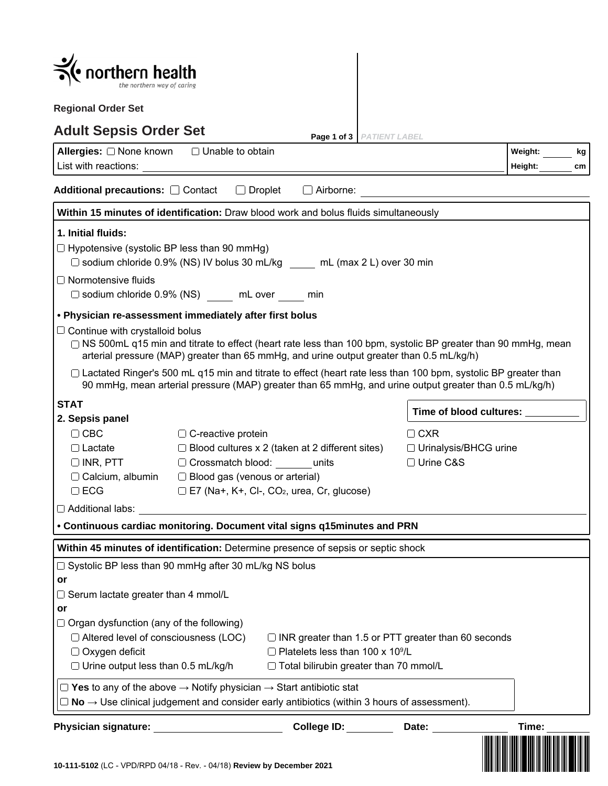| northern health                                                                                                                                                                                                                                      |                                                                                                |                                                                                                                                                                                                                            |                                                      |       |  |  |
|------------------------------------------------------------------------------------------------------------------------------------------------------------------------------------------------------------------------------------------------------|------------------------------------------------------------------------------------------------|----------------------------------------------------------------------------------------------------------------------------------------------------------------------------------------------------------------------------|------------------------------------------------------|-------|--|--|
| <b>Regional Order Set</b>                                                                                                                                                                                                                            |                                                                                                |                                                                                                                                                                                                                            |                                                      |       |  |  |
| <b>Adult Sepsis Order Set</b><br>Page 1 of 3   PATIENT LABEL                                                                                                                                                                                         |                                                                                                |                                                                                                                                                                                                                            |                                                      |       |  |  |
| Allergies: O None known<br>List with reactions:                                                                                                                                                                                                      | Weight:<br>kg<br>Height:<br>cm                                                                 |                                                                                                                                                                                                                            |                                                      |       |  |  |
| Additional precautions: O Contact                                                                                                                                                                                                                    | $\Box$ Droplet                                                                                 | $\Box$ Airborne:                                                                                                                                                                                                           |                                                      |       |  |  |
|                                                                                                                                                                                                                                                      |                                                                                                | Within 15 minutes of identification: Draw blood work and bolus fluids simultaneously                                                                                                                                       |                                                      |       |  |  |
| 1. Initial fluids:<br>$\Box$ Hypotensive (systolic BP less than 90 mmHg)<br>$\Box$ Normotensive fluids<br>$\Box$ sodium chloride 0.9% (NS) mL over min                                                                                               |                                                                                                | $\Box$ sodium chloride 0.9% (NS) IV bolus 30 mL/kg mL (max 2 L) over 30 min                                                                                                                                                |                                                      |       |  |  |
| . Physician re-assessment immediately after first bolus                                                                                                                                                                                              |                                                                                                |                                                                                                                                                                                                                            |                                                      |       |  |  |
| $\Box$ Continue with crystalloid bolus<br>□ NS 500mL q15 min and titrate to effect (heart rate less than 100 bpm, systolic BP greater than 90 mmHg, mean<br>arterial pressure (MAP) greater than 65 mmHg, and urine output greater than 0.5 mL/kg/h) |                                                                                                |                                                                                                                                                                                                                            |                                                      |       |  |  |
|                                                                                                                                                                                                                                                      |                                                                                                | □ Lactated Ringer's 500 mL q15 min and titrate to effect (heart rate less than 100 bpm, systolic BP greater than<br>90 mmHg, mean arterial pressure (MAP) greater than 65 mmHg, and urine output greater than 0.5 mL/kg/h) |                                                      |       |  |  |
| <b>STAT</b>                                                                                                                                                                                                                                          |                                                                                                |                                                                                                                                                                                                                            | Time of blood cultures:                              |       |  |  |
| 2. Sepsis panel<br>$\Box$ CBC<br>$\Box$ Lactate<br>$\Box$ INR, PTT<br>$\Box$ Calcium, albumin<br>$\Box$ ECG                                                                                                                                          | $\Box$ C-reactive protein<br>$\Box$ Crossmatch blood:<br>$\Box$ Blood gas (venous or arterial) | $\Box$ Blood cultures x 2 (taken at 2 different sites)<br>units<br>□ E7 (Na+, K+, Cl-, CO <sub>2</sub> , urea, Cr, glucose)                                                                                                | $\Box$ CXR<br>□ Urinalysis/BHCG urine<br>□ Urine C&S |       |  |  |
| $\Box$ Additional labs:                                                                                                                                                                                                                              |                                                                                                |                                                                                                                                                                                                                            |                                                      |       |  |  |
|                                                                                                                                                                                                                                                      |                                                                                                | • Continuous cardiac monitoring. Document vital signs q15minutes and PRN                                                                                                                                                   |                                                      |       |  |  |
| $\Box$ Systolic BP less than 90 mmHg after 30 mL/kg NS bolus<br>or<br>$\Box$ Serum lactate greater than 4 mmol/L<br>or<br>$\Box$ Organ dysfunction (any of the following)<br>$\Box$ Altered level of consciousness (LOC)                             |                                                                                                | Within 45 minutes of identification: Determine presence of sepsis or septic shock<br>$\Box$ INR greater than 1.5 or PTT greater than 60 seconds                                                                            |                                                      |       |  |  |
| $\Box$ Oxygen deficit<br>$\Box$ Urine output less than 0.5 mL/kg/h<br>$\Box$ Yes to any of the above $\rightarrow$ Notify physician $\rightarrow$ Start antibiotic stat                                                                              |                                                                                                | □ Platelets less than 100 x 10 <sup>9</sup> /L<br>$\Box$ Total bilirubin greater than 70 mmol/L                                                                                                                            |                                                      |       |  |  |
| $\Box$ No $\rightarrow$ Use clinical judgement and consider early antibiotics (within 3 hours of assessment).                                                                                                                                        |                                                                                                |                                                                                                                                                                                                                            |                                                      |       |  |  |
| Physician signature: expression of the set of the set of the set of the set of the set of the set of the set o<br>10-111-5102 (LC - VPD/RPD 04/18 - Rev. - 04/18) Review by December 2021                                                            |                                                                                                | College ID: <b>College ID:</b>                                                                                                                                                                                             | Date:                                                | Time: |  |  |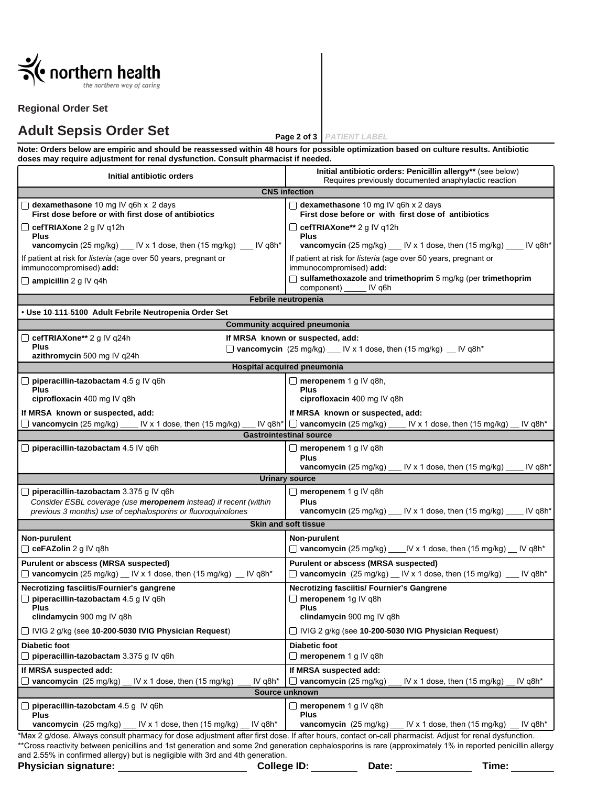

#### **Regional Order Set**

# **Adult Sepsis Order Set**

**Page 2 of 3** *PATIENT LABEL*

**Note: Orders below are empiric and should be reassessed within 48 hours for possible optimization based on culture results. Antibiotic doses may require adjustment for renal dysfunction. Consult pharmacist if needed.**

| Initial antibiotic orders                                                                                                                                                                                                                                                                                           | Initial antibiotic orders: Penicillin allergy** (see below)<br>Requires previously documented anaphylactic reaction |  |  |  |  |
|---------------------------------------------------------------------------------------------------------------------------------------------------------------------------------------------------------------------------------------------------------------------------------------------------------------------|---------------------------------------------------------------------------------------------------------------------|--|--|--|--|
| <b>CNS</b> infection                                                                                                                                                                                                                                                                                                |                                                                                                                     |  |  |  |  |
| dexamethasone 10 mg IV q6h x 2 days<br>First dose before or with first dose of antibiotics                                                                                                                                                                                                                          | dexamethasone 10 mg IV q6h x 2 days<br>First dose before or with first dose of antibiotics                          |  |  |  |  |
| $\Box$ cefTRIAXone 2 g IV q12h<br><b>Plus</b>                                                                                                                                                                                                                                                                       | $\Box$ cefTRIAXone** 2 g IV q12h<br>Plus                                                                            |  |  |  |  |
| vancomycin (25 mg/kg) $\frac{1}{1}$ IV x 1 dose, then (15 mg/kg) $\frac{1}{1}$ IV q8h*                                                                                                                                                                                                                              | vancomycin $(25 \text{ mg/kg})$ $\text{N} \times 1$ dose, then $(15 \text{ mg/kg})$ $\text{N} \text{ q8h}^*$        |  |  |  |  |
| If patient at risk for listeria (age over 50 years, pregnant or<br>immunocompromised) add:                                                                                                                                                                                                                          | If patient at risk for listeria (age over 50 years, pregnant or<br>immunocompromised) add:                          |  |  |  |  |
| $\Box$ ampicillin 2 g IV q4h                                                                                                                                                                                                                                                                                        | □ sulfamethoxazole and trimethoprim 5 mg/kg (per trimethoprim<br>component) __<br>$IV$ q6h                          |  |  |  |  |
| Febrile neutropenia                                                                                                                                                                                                                                                                                                 |                                                                                                                     |  |  |  |  |
| · Use 10 111 5100 Adult Febrile Neutropenia Order Set                                                                                                                                                                                                                                                               |                                                                                                                     |  |  |  |  |
|                                                                                                                                                                                                                                                                                                                     | <b>Community acquired pneumonia</b>                                                                                 |  |  |  |  |
| $\Box$ cefTRIAXone** 2 g IV q24h                                                                                                                                                                                                                                                                                    | If MRSA known or suspected, add:                                                                                    |  |  |  |  |
| <b>Plus</b><br>azithromycin 500 mg IV q24h                                                                                                                                                                                                                                                                          | $\Box$ vancomycin (25 mg/kg) ___ IV x 1 dose, then (15 mg/kg) __ IV q8h*                                            |  |  |  |  |
| Hospital acquired pneumonia                                                                                                                                                                                                                                                                                         |                                                                                                                     |  |  |  |  |
| $\Box$ piperacillin-tazobactam 4.5 g IV q6h                                                                                                                                                                                                                                                                         | $\Box$ meropenem 1 g IV q8h,                                                                                        |  |  |  |  |
| <b>Plus</b><br>ciprofloxacin 400 mg IV q8h                                                                                                                                                                                                                                                                          | <b>Plus</b><br>ciprofloxacin 400 mg IV q8h                                                                          |  |  |  |  |
| If MRSA known or suspected, add:                                                                                                                                                                                                                                                                                    | If MRSA known or suspected, add:                                                                                    |  |  |  |  |
| vancomycin $(25 \text{ mg/kg})$ ____ IV x 1 dose, then $(15 \text{ mg/kg})$                                                                                                                                                                                                                                         | IV q8h <sup>*</sup> $\Box$ vancomycin (25 mg/kg) $\Box$ IV x 1 dose, then (15 mg/kg) $\Box$<br>IV q8h*              |  |  |  |  |
| <b>Gastrointestinal source</b>                                                                                                                                                                                                                                                                                      |                                                                                                                     |  |  |  |  |
| $\Box$ piperacillin-tazobactam 4.5 IV q6h                                                                                                                                                                                                                                                                           | □ meropenem 1 g IV q8h                                                                                              |  |  |  |  |
|                                                                                                                                                                                                                                                                                                                     | <b>Plus</b>                                                                                                         |  |  |  |  |
|                                                                                                                                                                                                                                                                                                                     | IV q8h*<br>vancomycin (25 mg/kg)<br>IV x 1 dose, then $(15 \text{ mg/kg})$<br><b>Urinary source</b>                 |  |  |  |  |
|                                                                                                                                                                                                                                                                                                                     |                                                                                                                     |  |  |  |  |
| $\Box$ piperacillin tazobactam 3.375 g IV q6h<br>Consider ESBL coverage (use meropenem instead) if recent (within                                                                                                                                                                                                   | $\Box$ meropenem 1 g IV q8h<br><b>Plus</b>                                                                          |  |  |  |  |
| previous 3 months) use of cephalosporins or fluoroquinolones                                                                                                                                                                                                                                                        | IV q8h*<br>vancomycin $(25 \text{ mg/kg})$ __ IV x 1 dose, then $(15 \text{ mg/kg})$ __                             |  |  |  |  |
|                                                                                                                                                                                                                                                                                                                     | <b>Skin and soft tissue</b>                                                                                         |  |  |  |  |
| Non-purulent                                                                                                                                                                                                                                                                                                        | Non-purulent                                                                                                        |  |  |  |  |
| C ceFAZolin 2 g IV q8h                                                                                                                                                                                                                                                                                              | $\Box$ vancomycin (25 mg/kg) _____ IV x 1 dose, then (15 mg/kg) __ IV q8h*                                          |  |  |  |  |
| Purulent or abscess (MRSA suspected)                                                                                                                                                                                                                                                                                | Purulent or abscess (MRSA suspected)                                                                                |  |  |  |  |
| $\Box$ vancomycin (25 mg/kg) $\Box$ IV x 1 dose, then (15 mg/kg) $\Box$ IV q8h*                                                                                                                                                                                                                                     | $\Box$ vancomycin (25 mg/kg) $\Box$ IV x 1 dose, then (15 mg/kg) $\Box$ IV q8h*                                     |  |  |  |  |
| Necrotizing fasciitis/Fournier's gangrene                                                                                                                                                                                                                                                                           | <b>Necrotizing fasciitis/ Fournier's Gangrene</b>                                                                   |  |  |  |  |
| $\Box$ piperacillin-tazobactam 4.5 g IV q6h                                                                                                                                                                                                                                                                         | $\Box$ meropenem 1g IV q8h                                                                                          |  |  |  |  |
| <b>Plus</b><br>clindamycin 900 mg IV q8h                                                                                                                                                                                                                                                                            | Plus<br>clindamycin 900 mg IV q8h                                                                                   |  |  |  |  |
| □ IVIG 2 g/kg (see 10-200-5030 IVIG Physician Request)                                                                                                                                                                                                                                                              | □ IVIG 2 g/kg (see 10-200-5030 IVIG Physician Request)                                                              |  |  |  |  |
| <b>Diabetic foot</b>                                                                                                                                                                                                                                                                                                | <b>Diabetic foot</b>                                                                                                |  |  |  |  |
| $\Box$ piperacillin tazobactam 3.375 g IV q6h                                                                                                                                                                                                                                                                       | $\Box$ meropenem 1 g IV q8h                                                                                         |  |  |  |  |
| If MRSA suspected add:                                                                                                                                                                                                                                                                                              | If MRSA suspected add:                                                                                              |  |  |  |  |
| vancomycin (25 mg/kg)<br>IV x 1 dose, then $(15 \text{ mg/kg})$<br>IV q8h*                                                                                                                                                                                                                                          | $\Box$ vancomycin (25 mg/kg)<br>IV x 1 dose, then $(15 \text{ mg/kg})$<br>IV $q8h*$                                 |  |  |  |  |
| Source unknown                                                                                                                                                                                                                                                                                                      |                                                                                                                     |  |  |  |  |
| piperacillin-tazobctam 4.5 g IV q6h<br><b>Plus</b>                                                                                                                                                                                                                                                                  | □<br>meropenem 1 g IV q8h                                                                                           |  |  |  |  |
| IV x 1 dose, then $(15 \text{ mg/kg})$<br>IV $q8h*$<br>vancomycin (25 mg/kg)                                                                                                                                                                                                                                        | Plus<br>IV x 1 dose, then $(15 \text{ mg/kg})$<br>IV q8h*<br>vancomycin (25 mg/kg)                                  |  |  |  |  |
| *Max 2 g/dose. Always consult pharmacy for dose adjustment after first dose. If after hours, contact on-call pharmacist. Adjust for renal dysfunction.<br>**Cross reactivity between penicillins and 1st generation and some 2nd generation cephalosporins is rare (approximately 1% in reported penicillin allergy |                                                                                                                     |  |  |  |  |

cephalosporins is rare (approximately 1% in reported penicillin allergy and 2.55% in confirmed allergy) but is negligible with 3rd and 4th generation. **Physician signature: College ID: Date: Time:**